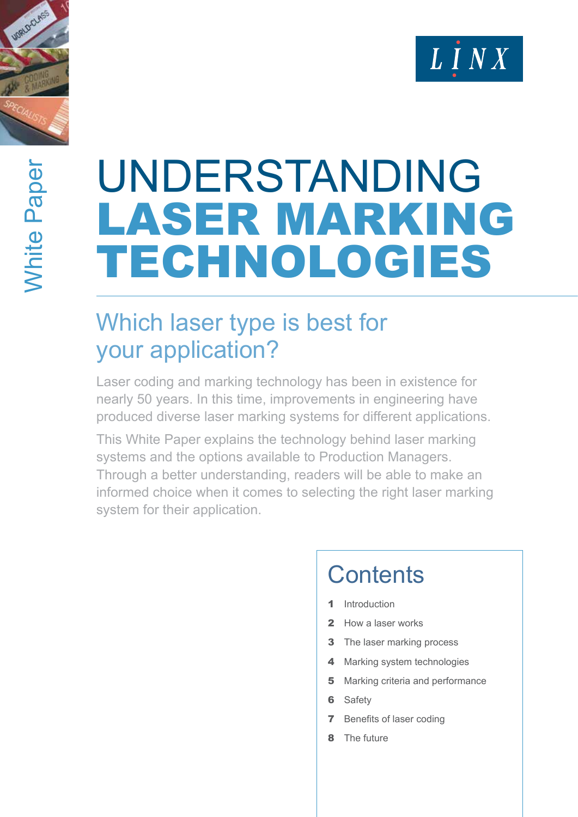



# UNDERSTANDING<br>LASER MARKING TECHNOLOGIES

# Which laser type is best for your application?

Laser coding and marking technology has been in existence for nearly 50 years. In this time, improvements in engineering have produced diverse laser marking systems for different applications.

This White Paper explains the technology behind laser marking systems and the options available to Production Managers. Through a better understanding, readers will be able to make an informed choice when it comes to selecting the right laser marking system for their application.

# **Contents**

- **Introduction**
- 2 How a laser works
- **3** The laser marking process
- 4 Marking system technologies
- **5** Marking criteria and performance
- **6** Safety
- 7 Benefits of laser coding
- 8 The future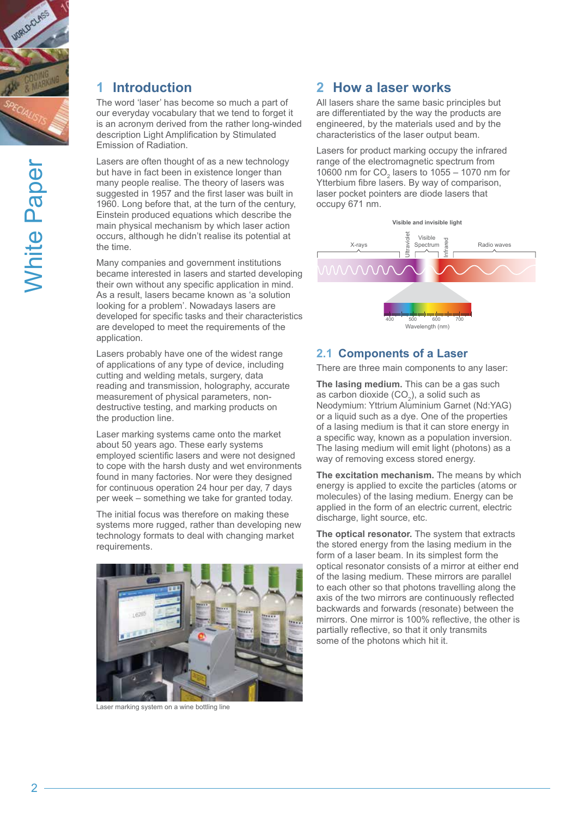

# **1 Introduction**

The word 'laser' has become so much a part of our everyday vocabulary that we tend to forget it is an acronym derived from the rather long-winded description Light Amplification by Stimulated Emission of Radiation.

Lasers are often thought of as a new technology but have in fact been in existence longer than many people realise. The theory of lasers was suggested in 1957 and the first laser was built in 1960. Long before that, at the turn of the century, Einstein produced equations which describe the main physical mechanism by which laser action occurs, although he didn't realise its potential at the time.

Many companies and government institutions became interested in lasers and started developing their own without any specific application in mind. As a result, lasers became known as 'a solution looking for a problem'. Nowadays lasers are developed for specific tasks and their characteristics are developed to meet the requirements of the application.

Lasers probably have one of the widest range of applications of any type of device, including cutting and welding metals, surgery, data reading and transmission, holography, accurate measurement of physical parameters, nondestructive testing, and marking products on the production line.

Laser marking systems came onto the market about 50 years ago. These early systems employed scientific lasers and were not designed to cope with the harsh dusty and wet environments found in many factories. Nor were they designed for continuous operation 24 hour per day, 7 days per week – something we take for granted today.

The initial focus was therefore on making these systems more rugged, rather than developing new technology formats to deal with changing market requirements.



Laser marking system on a wine bottling line

# **2 How a laser works**

All lasers share the same basic principles but are differentiated by the way the products are engineered, by the materials used and by the characteristics of the laser output beam.

Lasers for product marking occupy the infrared range of the electromagnetic spectrum from 10600 nm for  $CO<sub>2</sub>$  lasers to 1055 – 1070 nm for Ytterbium fibre lasers. By way of comparison, laser pocket pointers are diode lasers that occupy 671 nm.



#### **2.1 Components of a Laser**

There are three main components to any laser:

**The lasing medium.** This can be a gas such as carbon dioxide  $(CO<sub>2</sub>)$ , a solid such as Neodymium: Yttrium Aluminium Garnet (Nd:YAG) or a liquid such as a dye. One of the properties of a lasing medium is that it can store energy in a specific way, known as a population inversion. The lasing medium will emit light (photons) as a way of removing excess stored energy.

**The excitation mechanism.** The means by which energy is applied to excite the particles (atoms or molecules) of the lasing medium. Energy can be applied in the form of an electric current, electric discharge, light source, etc.

**The optical resonator.** The system that extracts the stored energy from the lasing medium in the form of a laser beam. In its simplest form the optical resonator consists of a mirror at either end of the lasing medium. These mirrors are parallel to each other so that photons travelling along the axis of the two mirrors are continuously reflected backwards and forwards (resonate) between the mirrors. One mirror is 100% reflective, the other is partially reflective, so that it only transmits some of the photons which hit it.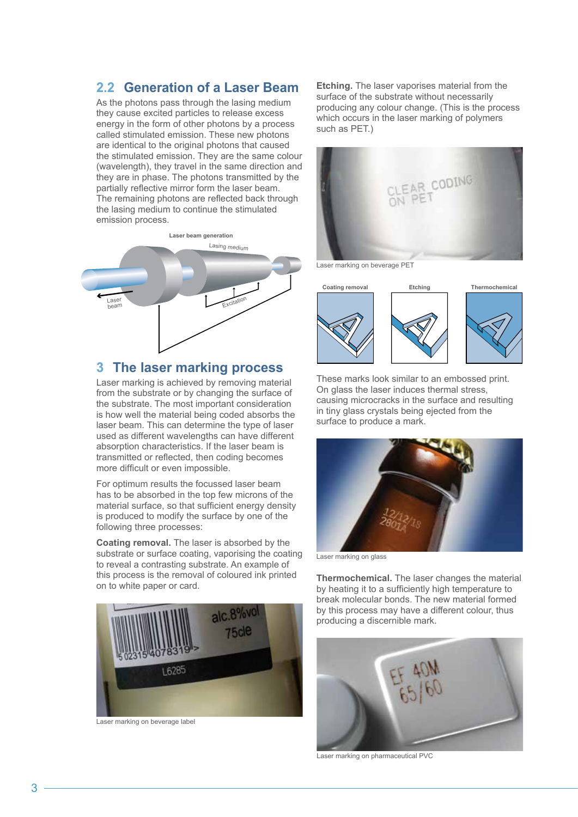### **2.2 Generation of a Laser Beam**

As the photons pass through the lasing medium they cause excited particles to release excess energy in the form of other photons by a process called stimulated emission. These new photons are identical to the original photons that caused the stimulated emission. They are the same colour (wavelength), they travel in the same direction and they are in phase. The photons transmitted by the partially reflective mirror form the laser beam. The remaining photons are reflected back through the lasing medium to continue the stimulated emission process.



## **3 The laser marking process**

Laser marking is achieved by removing material from the substrate or by changing the surface of the substrate. The most important consideration is how well the material being coded absorbs the laser beam. This can determine the type of laser used as different wavelengths can have different absorption characteristics. If the laser beam is transmitted or reflected, then coding becomes more difficult or even impossible.

For optimum results the focussed laser beam has to be absorbed in the top few microns of the material surface, so that sufficient energy density is produced to modify the surface by one of the following three processes:

**Coating removal.** The laser is absorbed by the substrate or surface coating, vaporising the coating to reveal a contrasting substrate. An example of this process is the removal of coloured ink printed on to white paper or card.



Laser marking on beverage label

**Etching.** The laser vaporises material from the surface of the substrate without necessarily producing any colour change. (This is the process which occurs in the laser marking of polymers such as PET.)



Laser marking on beverage PET



These marks look similar to an embossed print. On glass the laser induces thermal stress, causing microcracks in the surface and resulting in tiny glass crystals being ejected from the surface to produce a mark.



Laser marking on glass

**Thermochemical.** The laser changes the material by heating it to a sufficiently high temperature to break molecular bonds. The new material formed by this process may have a different colour, thus producing a discernible mark.



Laser marking on pharmaceutical PVC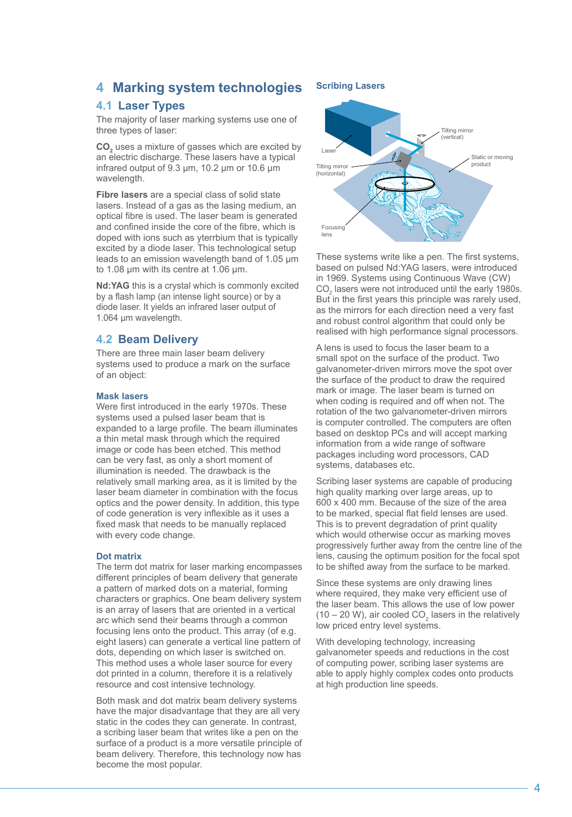# **4 Marking system technologies**

#### **4.1 Laser Types**

The majority of laser marking systems use one of three types of laser:

**CO**<sub>2</sub> uses a mixture of gasses which are excited by an electric discharge. These lasers have a typical infrared output of 9.3 µm, 10.2 µm or 10.6 µm wavelength.

**Fibre lasers** are a special class of solid state lasers. Instead of a gas as the lasing medium, an optical fibre is used. The laser beam is generated and confined inside the core of the fibre, which is doped with ions such as yterrbium that is typically excited by a diode laser. This technological setup leads to an emission wavelength band of 1.05 µm to 1.08 µm with its centre at 1.06 µm.

**Nd:YAG** this is a crystal which is commonly excited by a flash lamp (an intense light source) or by a diode laser. It yields an infrared laser output of 1.064 µm wavelength.

#### **4.2 Beam Delivery**

There are three main laser beam delivery systems used to produce a mark on the surface of an object:

#### **Mask lasers**

Were first introduced in the early 1970s. These systems used a pulsed laser beam that is expanded to a large profile. The beam illuminates a thin metal mask through which the required image or code has been etched. This method can be very fast, as only a short moment of illumination is needed. The drawback is the relatively small marking area, as it is limited by the laser beam diameter in combination with the focus optics and the power density. In addition, this type of code generation is very inflexible as it uses a fixed mask that needs to be manually replaced with every code change.

#### **Dot matrix**

The term dot matrix for laser marking encompasses different principles of beam delivery that generate a pattern of marked dots on a material, forming characters or graphics. One beam delivery system is an array of lasers that are oriented in a vertical arc which send their beams through a common focusing lens onto the product. This array (of e.g. eight lasers) can generate a vertical line pattern of dots, depending on which laser is switched on. This method uses a whole laser source for every dot printed in a column, therefore it is a relatively resource and cost intensive technology.

Both mask and dot matrix beam delivery systems have the major disadvantage that they are all very static in the codes they can generate. In contrast, a scribing laser beam that writes like a pen on the surface of a product is a more versatile principle of beam delivery. Therefore, this technology now has become the most popular.

#### **Scribing Lasers**



These systems write like a pen. The first systems, based on pulsed Nd:YAG lasers, were introduced in 1969. Systems using Continuous Wave (CW)  $CO<sub>2</sub>$  lasers were not introduced until the early 1980s. But in the first years this principle was rarely used, as the mirrors for each direction need a very fast and robust control algorithm that could only be realised with high performance signal processors.

A lens is used to focus the laser beam to a small spot on the surface of the product. Two galvanometer-driven mirrors move the spot over the surface of the product to draw the required mark or image. The laser beam is turned on when coding is required and off when not. The rotation of the two galvanometer-driven mirrors is computer controlled. The computers are often based on desktop PCs and will accept marking information from a wide range of software packages including word processors, CAD systems, databases etc.

Scribing laser systems are capable of producing high quality marking over large areas, up to 600 x 400 mm. Because of the size of the area to be marked, special flat field lenses are used. This is to prevent degradation of print quality which would otherwise occur as marking moves progressively further away from the centre line of the lens, causing the optimum position for the focal spot to be shifted away from the surface to be marked.

Since these systems are only drawing lines where required, they make very efficient use of the laser beam. This allows the use of low power  $(10 - 20 \text{ W})$ , air cooled CO<sub>2</sub> lasers in the relatively low priced entry level systems.

With developing technology, increasing galvanometer speeds and reductions in the cost of computing power, scribing laser systems are able to apply highly complex codes onto products at high production line speeds.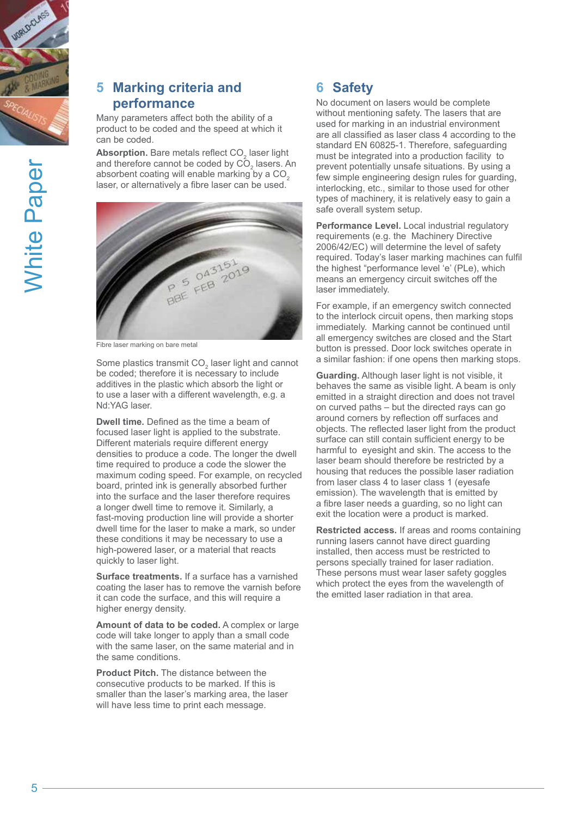

# **5 Marking criteria and performance**

Many parameters affect both the ability of a product to be coded and the speed at which it can be coded.

Absorption. Bare metals reflect CO<sub>2</sub> laser light and therefore cannot be coded by  $CO<sub>2</sub>$  lasers. An absorbent coating will enable marking by a  $CO<sub>2</sub>$ laser, or alternatively a fibre laser can be used.



Fibre laser marking on bare metal

Some plastics transmit CO<sub>2</sub> laser light and cannot be coded; therefore it is necessary to include additives in the plastic which absorb the light or to use a laser with a different wavelength, e.g. a Nd:YAG laser.

**Dwell time.** Defined as the time a beam of focused laser light is applied to the substrate. Different materials require different energy densities to produce a code. The longer the dwell time required to produce a code the slower the maximum coding speed. For example, on recycled board, printed ink is generally absorbed further into the surface and the laser therefore requires a longer dwell time to remove it. Similarly, a fast-moving production line will provide a shorter dwell time for the laser to make a mark, so under these conditions it may be necessary to use a high-powered laser, or a material that reacts quickly to laser light.

**Surface treatments.** If a surface has a varnished coating the laser has to remove the varnish before it can code the surface, and this will require a higher energy density.

**Amount of data to be coded.** A complex or large code will take longer to apply than a small code with the same laser, on the same material and in the same conditions.

**Product Pitch.** The distance between the consecutive products to be marked. If this is smaller than the laser's marking area, the laser will have less time to print each message.

# **6 Safety**

No document on lasers would be complete without mentioning safety. The lasers that are used for marking in an industrial environment are all classified as laser class 4 according to the standard EN 60825-1. Therefore, safeguarding must be integrated into a production facility to prevent potentially unsafe situations. By using a few simple engineering design rules for guarding, interlocking, etc., similar to those used for other types of machinery, it is relatively easy to gain a safe overall system setup.

**Performance Level.** Local industrial regulatory requirements (e.g. the Machinery Directive 2006/42/EC) will determine the level of safety required. Today's laser marking machines can fulfil the highest "performance level 'e' (PLe), which means an emergency circuit switches off the laser immediately.

For example, if an emergency switch connected to the interlock circuit opens, then marking stops immediately. Marking cannot be continued until all emergency switches are closed and the Start button is pressed. Door lock switches operate in a similar fashion: if one opens then marking stops.

**Guarding.** Although laser light is not visible, it behaves the same as visible light. A beam is only emitted in a straight direction and does not travel on curved paths – but the directed rays can go around corners by reflection off surfaces and objects. The reflected laser light from the product surface can still contain sufficient energy to be harmful to eyesight and skin. The access to the laser beam should therefore be restricted by a housing that reduces the possible laser radiation from laser class 4 to laser class 1 (eyesafe emission). The wavelength that is emitted by a fibre laser needs a guarding, so no light can exit the location were a product is marked.

**Restricted access.** If areas and rooms containing running lasers cannot have direct guarding installed, then access must be restricted to persons specially trained for laser radiation. These persons must wear laser safety goggles which protect the eyes from the wavelength of the emitted laser radiation in that area.